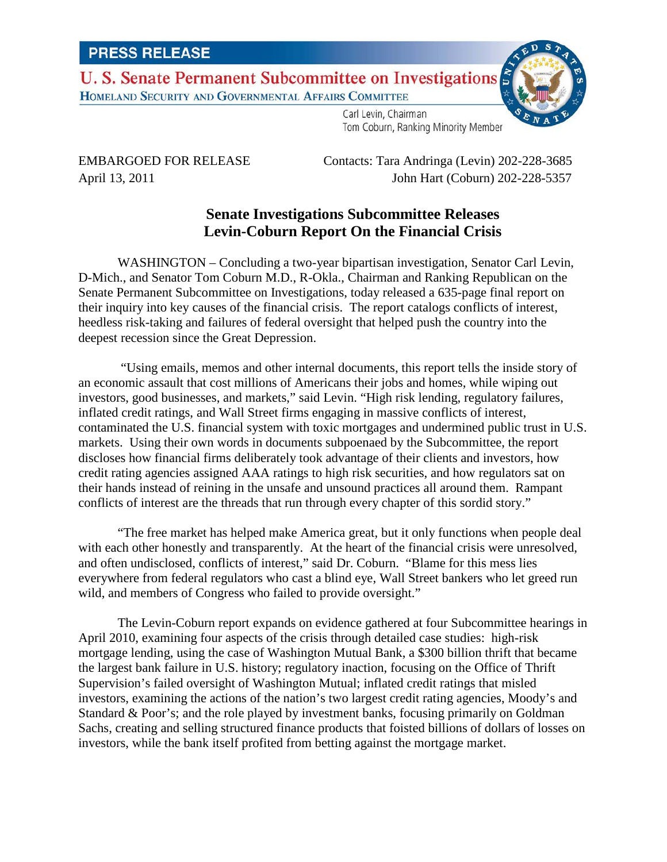U. S. Senate Permanent Subcommittee on Investigations HOMELAND SECURITY AND GOVERNMENTAL AFFAIRS COMMITTEE



Carl Levin, Chairman Tom Coburn, Ranking Minority Member

EMBARGOED FOR RELEASE Contacts: Tara Andringa (Levin) 202-228-3685 April 13, 2011 John Hart (Coburn) 202-228-5357

## **Senate Investigations Subcommittee Releases Levin-Coburn Report On the Financial Crisis**

WASHINGTON – Concluding a two-year bipartisan investigation, Senator Carl Levin, D-Mich., and Senator Tom Coburn M.D., R-Okla., Chairman and Ranking Republican on the Senate Permanent Subcommittee on Investigations, today released a 635-page final report on their inquiry into key causes of the financial crisis. The report catalogs conflicts of interest, heedless risk-taking and failures of federal oversight that helped push the country into the deepest recession since the Great Depression.

"Using emails, memos and other internal documents, this report tells the inside story of an economic assault that cost millions of Americans their jobs and homes, while wiping out investors, good businesses, and markets," said Levin. "High risk lending, regulatory failures, inflated credit ratings, and Wall Street firms engaging in massive conflicts of interest, contaminated the U.S. financial system with toxic mortgages and undermined public trust in U.S. markets. Using their own words in documents subpoenaed by the Subcommittee, the report discloses how financial firms deliberately took advantage of their clients and investors, how credit rating agencies assigned AAA ratings to high risk securities, and how regulators sat on their hands instead of reining in the unsafe and unsound practices all around them. Rampant conflicts of interest are the threads that run through every chapter of this sordid story."

"The free market has helped make America great, but it only functions when people deal with each other honestly and transparently. At the heart of the financial crisis were unresolved, and often undisclosed, conflicts of interest," said Dr. Coburn. "Blame for this mess lies everywhere from federal regulators who cast a blind eye, Wall Street bankers who let greed run wild, and members of Congress who failed to provide oversight."

The Levin-Coburn report expands on evidence gathered at four Subcommittee hearings in April 2010, examining four aspects of the crisis through detailed case studies: high-risk mortgage lending, using the case of Washington Mutual Bank, a \$300 billion thrift that became the largest bank failure in U.S. history; regulatory inaction, focusing on the Office of Thrift Supervision's failed oversight of Washington Mutual; inflated credit ratings that misled investors, examining the actions of the nation's two largest credit rating agencies, Moody's and Standard & Poor's; and the role played by investment banks, focusing primarily on Goldman Sachs, creating and selling structured finance products that foisted billions of dollars of losses on investors, while the bank itself profited from betting against the mortgage market.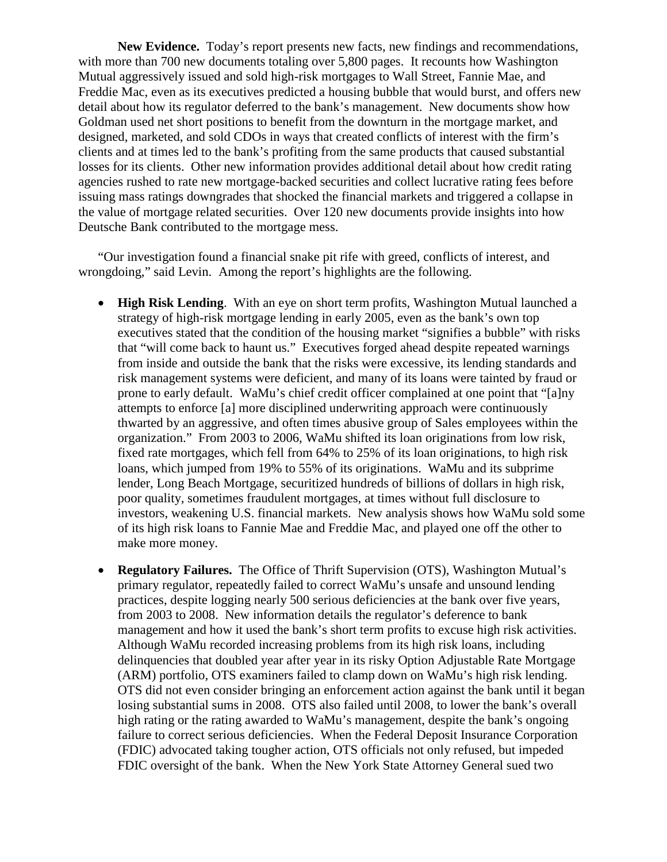**New Evidence.** Today's report presents new facts, new findings and recommendations, with more than 700 new documents totaling over 5,800 pages. It recounts how Washington Mutual aggressively issued and sold high-risk mortgages to Wall Street, Fannie Mae, and Freddie Mac, even as its executives predicted a housing bubble that would burst, and offers new detail about how its regulator deferred to the bank's management. New documents show how Goldman used net short positions to benefit from the downturn in the mortgage market, and designed, marketed, and sold CDOs in ways that created conflicts of interest with the firm's clients and at times led to the bank's profiting from the same products that caused substantial losses for its clients. Other new information provides additional detail about how credit rating agencies rushed to rate new mortgage-backed securities and collect lucrative rating fees before issuing mass ratings downgrades that shocked the financial markets and triggered a collapse in the value of mortgage related securities. Over 120 new documents provide insights into how Deutsche Bank contributed to the mortgage mess.

"Our investigation found a financial snake pit rife with greed, conflicts of interest, and wrongdoing," said Levin. Among the report's highlights are the following.

- **High Risk Lending**. With an eye on short term profits, Washington Mutual launched a strategy of high-risk mortgage lending in early 2005, even as the bank's own top executives stated that the condition of the housing market "signifies a bubble" with risks that "will come back to haunt us." Executives forged ahead despite repeated warnings from inside and outside the bank that the risks were excessive, its lending standards and risk management systems were deficient, and many of its loans were tainted by fraud or prone to early default. WaMu's chief credit officer complained at one point that "[a]ny attempts to enforce [a] more disciplined underwriting approach were continuously thwarted by an aggressive, and often times abusive group of Sales employees within the organization." From 2003 to 2006, WaMu shifted its loan originations from low risk, fixed rate mortgages, which fell from 64% to 25% of its loan originations, to high risk loans, which jumped from 19% to 55% of its originations. WaMu and its subprime lender, Long Beach Mortgage, securitized hundreds of billions of dollars in high risk, poor quality, sometimes fraudulent mortgages, at times without full disclosure to investors, weakening U.S. financial markets. New analysis shows how WaMu sold some of its high risk loans to Fannie Mae and Freddie Mac, and played one off the other to make more money.
- **Regulatory Failures.** The Office of Thrift Supervision (OTS), Washington Mutual's primary regulator, repeatedly failed to correct WaMu's unsafe and unsound lending practices, despite logging nearly 500 serious deficiencies at the bank over five years, from 2003 to 2008. New information details the regulator's deference to bank management and how it used the bank's short term profits to excuse high risk activities. Although WaMu recorded increasing problems from its high risk loans, including delinquencies that doubled year after year in its risky Option Adjustable Rate Mortgage (ARM) portfolio, OTS examiners failed to clamp down on WaMu's high risk lending. OTS did not even consider bringing an enforcement action against the bank until it began losing substantial sums in 2008. OTS also failed until 2008, to lower the bank's overall high rating or the rating awarded to WaMu's management, despite the bank's ongoing failure to correct serious deficiencies. When the Federal Deposit Insurance Corporation (FDIC) advocated taking tougher action, OTS officials not only refused, but impeded FDIC oversight of the bank. When the New York State Attorney General sued two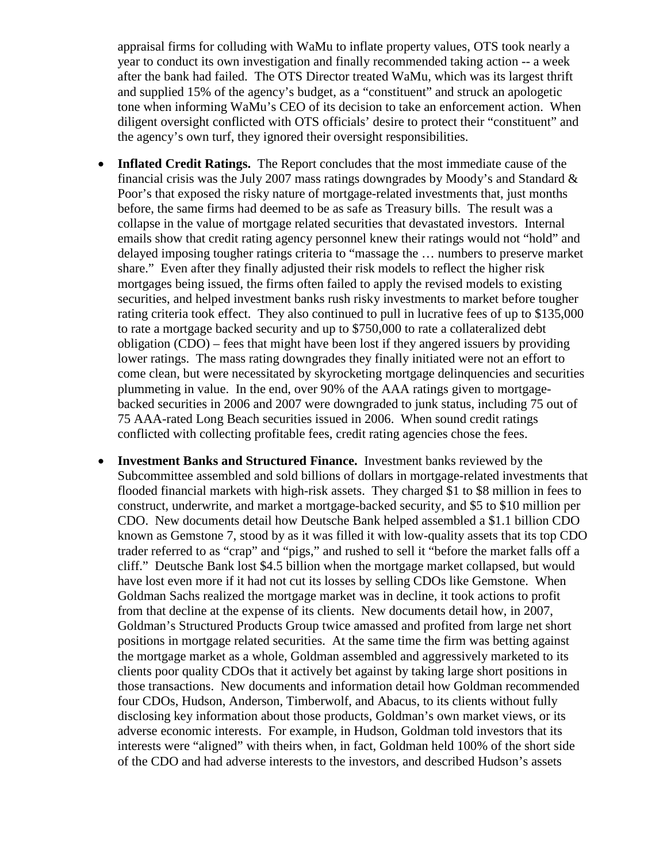appraisal firms for colluding with WaMu to inflate property values, OTS took nearly a year to conduct its own investigation and finally recommended taking action -- a week after the bank had failed. The OTS Director treated WaMu, which was its largest thrift and supplied 15% of the agency's budget, as a "constituent" and struck an apologetic tone when informing WaMu's CEO of its decision to take an enforcement action. When diligent oversight conflicted with OTS officials' desire to protect their "constituent" and the agency's own turf, they ignored their oversight responsibilities.

- **Inflated Credit Ratings.** The Report concludes that the most immediate cause of the financial crisis was the July 2007 mass ratings downgrades by Moody's and Standard & Poor's that exposed the risky nature of mortgage-related investments that, just months before, the same firms had deemed to be as safe as Treasury bills. The result was a collapse in the value of mortgage related securities that devastated investors. Internal emails show that credit rating agency personnel knew their ratings would not "hold" and delayed imposing tougher ratings criteria to "massage the … numbers to preserve market share." Even after they finally adjusted their risk models to reflect the higher risk mortgages being issued, the firms often failed to apply the revised models to existing securities, and helped investment banks rush risky investments to market before tougher rating criteria took effect. They also continued to pull in lucrative fees of up to \$135,000 to rate a mortgage backed security and up to \$750,000 to rate a collateralized debt obligation (CDO) – fees that might have been lost if they angered issuers by providing lower ratings. The mass rating downgrades they finally initiated were not an effort to come clean, but were necessitated by skyrocketing mortgage delinquencies and securities plummeting in value. In the end, over 90% of the AAA ratings given to mortgagebacked securities in 2006 and 2007 were downgraded to junk status, including 75 out of 75 AAA-rated Long Beach securities issued in 2006. When sound credit ratings conflicted with collecting profitable fees, credit rating agencies chose the fees.
- **Investment Banks and Structured Finance.** Investment banks reviewed by the Subcommittee assembled and sold billions of dollars in mortgage-related investments that flooded financial markets with high-risk assets. They charged \$1 to \$8 million in fees to construct, underwrite, and market a mortgage-backed security, and \$5 to \$10 million per CDO. New documents detail how Deutsche Bank helped assembled a \$1.1 billion CDO known as Gemstone 7, stood by as it was filled it with low-quality assets that its top CDO trader referred to as "crap" and "pigs," and rushed to sell it "before the market falls off a cliff." Deutsche Bank lost \$4.5 billion when the mortgage market collapsed, but would have lost even more if it had not cut its losses by selling CDOs like Gemstone. When Goldman Sachs realized the mortgage market was in decline, it took actions to profit from that decline at the expense of its clients. New documents detail how, in 2007, Goldman's Structured Products Group twice amassed and profited from large net short positions in mortgage related securities. At the same time the firm was betting against the mortgage market as a whole, Goldman assembled and aggressively marketed to its clients poor quality CDOs that it actively bet against by taking large short positions in those transactions. New documents and information detail how Goldman recommended four CDOs, Hudson, Anderson, Timberwolf, and Abacus, to its clients without fully disclosing key information about those products, Goldman's own market views, or its adverse economic interests. For example, in Hudson, Goldman told investors that its interests were "aligned" with theirs when, in fact, Goldman held 100% of the short side of the CDO and had adverse interests to the investors, and described Hudson's assets